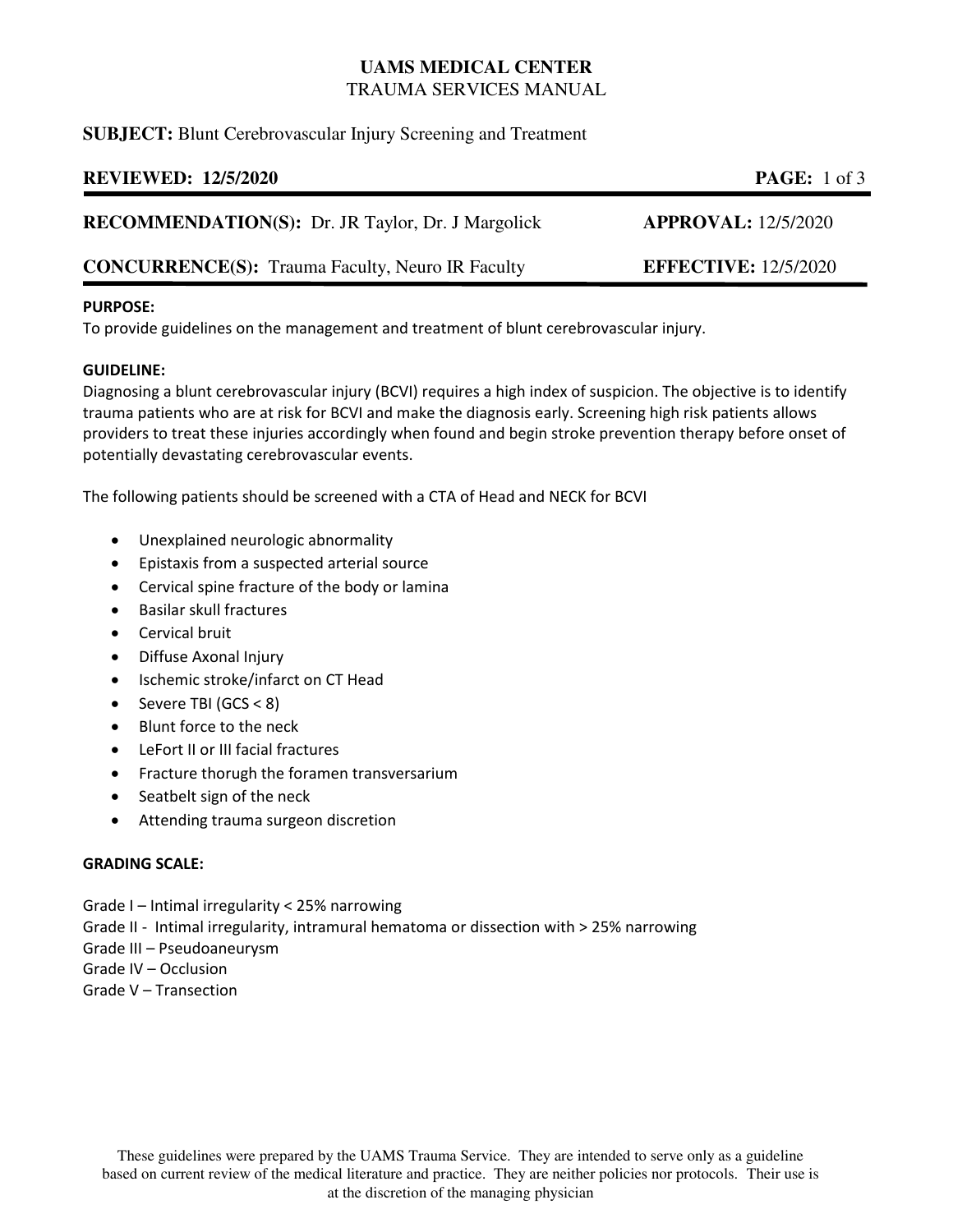# **UAMS MEDICAL CENTER**  TRAUMA SERVICES MANUAL

## **SUBJECT:** Blunt Cerebrovascular Injury Screening and Treatment

## **REVIEWED: 12/5/2020 PAGE:** 1 of 3

| <b>RECOMMENDATION(S):</b> Dr. JR Taylor, Dr. J Margolick |  |  | <b>APPROVAL:</b> 12/5/2020 |
|----------------------------------------------------------|--|--|----------------------------|
|----------------------------------------------------------|--|--|----------------------------|

## **CONCURRENCE(S):** Trauma Faculty, Neuro IR Faculty **EFFECTIVE:** 12/5/2020

### **PURPOSE:**

To provide guidelines on the management and treatment of blunt cerebrovascular injury.

### **GUIDELINE:**

Diagnosing a blunt cerebrovascular injury (BCVI) requires a high index of suspicion. The objective is to identify trauma patients who are at risk for BCVI and make the diagnosis early. Screening high risk patients allows providers to treat these injuries accordingly when found and begin stroke prevention therapy before onset of potentially devastating cerebrovascular events.

The following patients should be screened with a CTA of Head and NECK for BCVI

- Unexplained neurologic abnormality
- Epistaxis from a suspected arterial source
- Cervical spine fracture of the body or lamina
- Basilar skull fractures
- **•** Cervical bruit
- Diffuse Axonal Injury
- Ischemic stroke/infarct on CT Head
- Severe TBI (GCS < 8)
- Blunt force to the neck
- LeFort II or III facial fractures
- Fracture thorugh the foramen transversarium
- Seatbelt sign of the neck
- Attending trauma surgeon discretion

#### **GRADING SCALE:**

- Grade I Intimal irregularity < 25% narrowing
- Grade II Intimal irregularity, intramural hematoma or dissection with > 25% narrowing
- Grade III Pseudoaneurysm
- Grade IV Occlusion
- Grade V Transection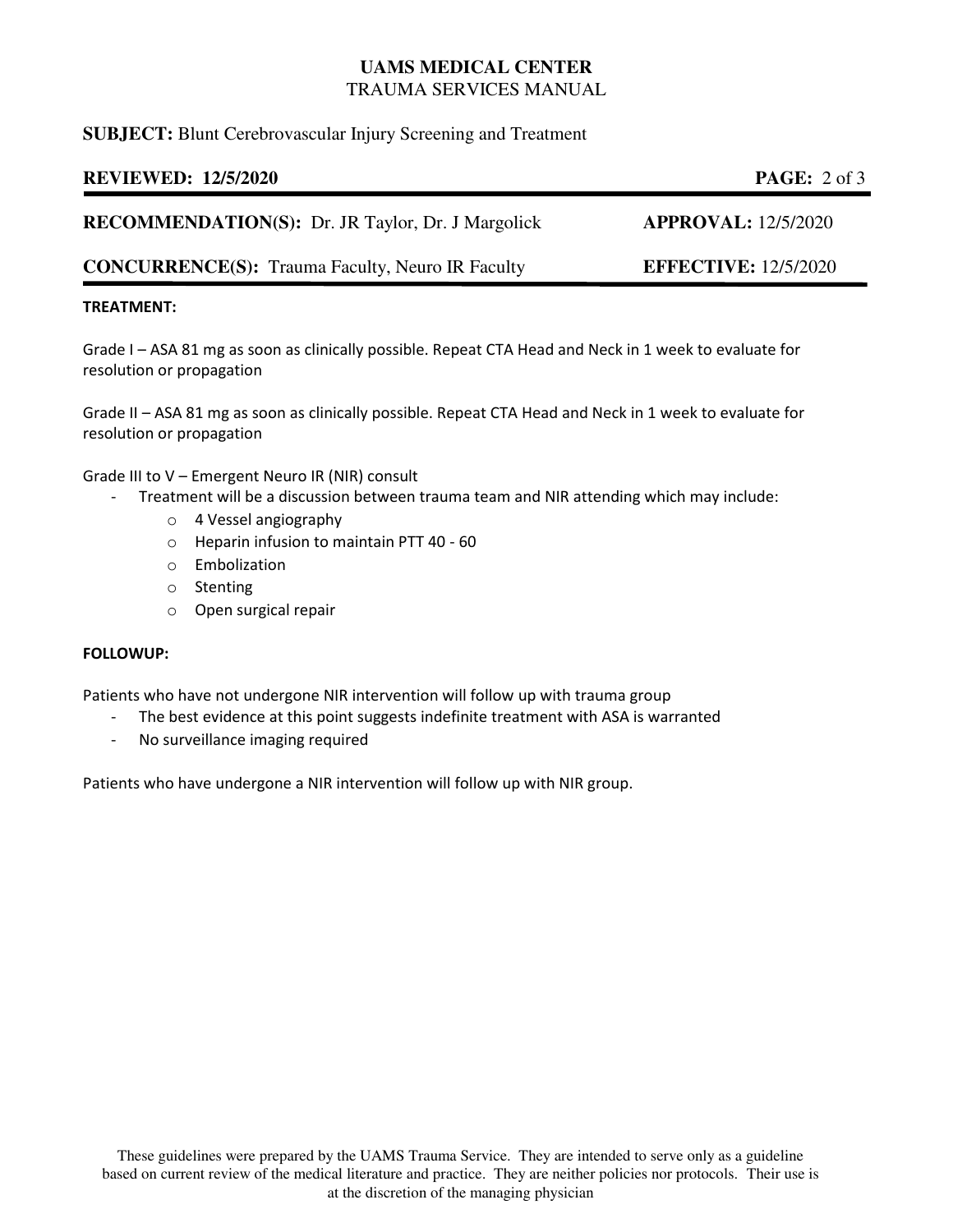# **UAMS MEDICAL CENTER**  TRAUMA SERVICES MANUAL

## **SUBJECT:** Blunt Cerebrovascular Injury Screening and Treatment

## **REVIEWED: 12/5/2020 PAGE:** 2 of 3

**RECOMMENDATION(S):** Dr. JR Taylor, Dr. J Margolick **APPROVAL:** 12/5/2020

**CONCURRENCE(S):** Trauma Faculty, Neuro IR Faculty **EFFECTIVE:** 12/5/2020

### **TREATMENT:**

Grade I – ASA 81 mg as soon as clinically possible. Repeat CTA Head and Neck in 1 week to evaluate for resolution or propagation

Grade II – ASA 81 mg as soon as clinically possible. Repeat CTA Head and Neck in 1 week to evaluate for resolution or propagation

Grade III to V – Emergent Neuro IR (NIR) consult

- Treatment will be a discussion between trauma team and NIR attending which may include:
	- o 4 Vessel angiography
	- o Heparin infusion to maintain PTT 40 60
	- o Embolization
	- o Stenting
	- o Open surgical repair

#### **FOLLOWUP:**

Patients who have not undergone NIR intervention will follow up with trauma group

- The best evidence at this point suggests indefinite treatment with ASA is warranted
- No surveillance imaging required

Patients who have undergone a NIR intervention will follow up with NIR group.